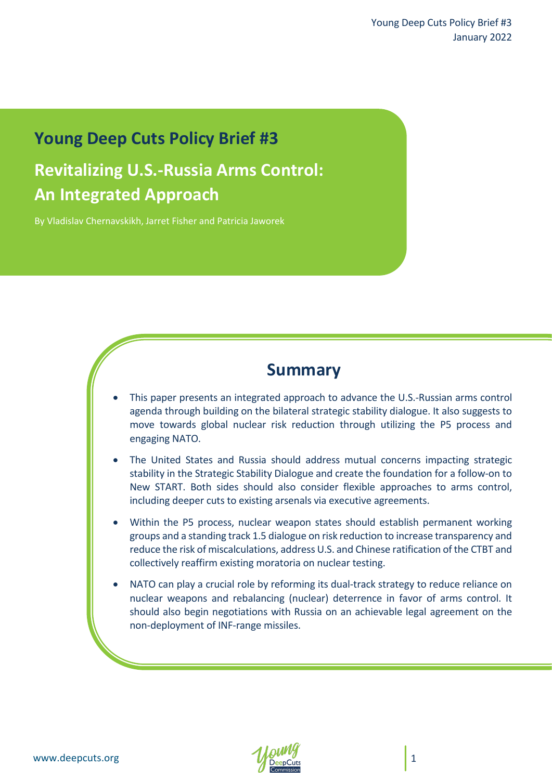## **Young Deep Cuts Policy Brief #3**

# **Revitalizing U.S.-Russia Arms Control: An Integrated Approach**

By Vladislav Chernavskikh, Jarret Fisher and Patricia Jaworek

## **Summary**

- This paper presents an integrated approach to advance the U.S.-Russian arms control agenda through building on the bilateral strategic stability dialogue. It also suggests to move towards global nuclear risk reduction through utilizing the P5 process and engaging NATO.
- The United States and Russia should address mutual concerns impacting strategic stability in the Strategic Stability Dialogue and create the foundation for a follow-on to New START. Both sides should also consider flexible approaches to arms control, including deeper cuts to existing arsenals via executive agreements.
- Within the P5 process, nuclear weapon states should establish permanent working groups and a standing track 1.5 dialogue on risk reduction to increase transparency and reduce the risk of miscalculations, address U.S. and Chinese ratification of the CTBT and collectively reaffirm existing moratoria on nuclear testing.
- NATO can play a crucial role by reforming its dual-track strategy to reduce reliance on nuclear weapons and rebalancing (nuclear) deterrence in favor of arms control. It should also begin negotiations with Russia on an achievable legal agreement on the non-deployment of INF-range missiles.

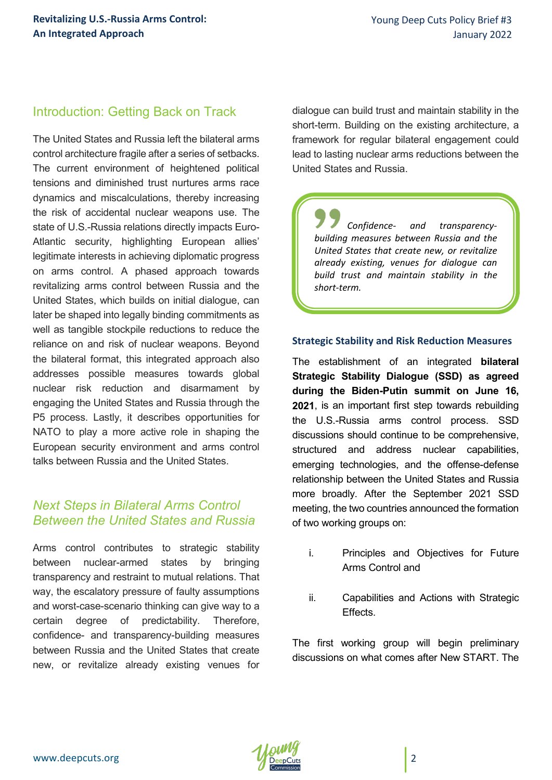## Introduction: Getting Back on Track

The United States and Russia left the bilateral arms control architecture fragile after a series of setbacks. The current environment of heightened political tensions and diminished trust nurtures arms race dynamics and miscalculations, thereby increasing the risk of accidental nuclear weapons use. The state of U.S.-Russia relations directly impacts Euro-Atlantic security, highlighting European allies' legitimate interests in achieving diplomatic progress on arms control. A phased approach towards revitalizing arms control between Russia and the United States, which builds on initial dialogue, can later be shaped into legally binding commitments as well as tangible stockpile reductions to reduce the reliance on and risk of nuclear weapons. Beyond the bilateral format, this integrated approach also addresses possible measures towards global nuclear risk reduction and disarmament by engaging the United States and Russia through the P5 process. Lastly, it describes opportunities for NATO to play a more active role in shaping the European security environment and arms control talks between Russia and the United States.

## *Next Steps in Bilateral Arms Control Between the United States and Russia*

Arms control contributes to strategic stability between nuclear-armed states by bringing transparency and restraint to mutual relations. That way, the escalatory pressure of faulty assumptions and worst-case-scenario thinking can give way to a certain degree of predictability. Therefore, confidence- and transparency-building measures between Russia and the United States that create new, or revitalize already existing venues for

dialogue can build trust and maintain stability in the short-term. Building on the existing architecture, a framework for regular bilateral engagement could lead to lasting nuclear arms reductions between the United States and Russia.

*Confidence- and transparencybuilding measures between Russia and the United States that create new, or revitalize already existing, venues for dialogue can build trust and maintain stability in the short-term.*

#### **Strategic Stability and Risk Reduction Measures**

The establishment of an integrated **bilateral Strategic Stability Dialogue (SSD) as agreed during the Biden-Putin summit on June 16, 2021**, is an important first step towards rebuilding the U.S.-Russia arms control process. SSD discussions should continue to be comprehensive, structured and address nuclear capabilities, emerging technologies, and the offense-defense relationship between the United States and Russia more broadly. After the September 2021 SSD meeting, the two countries announced the formation of two working groups on:

- i. Principles and Objectives for Future Arms Control and
- ii. Capabilities and Actions with Strategic Effects.

The first working group will begin preliminary discussions on what comes after New START. The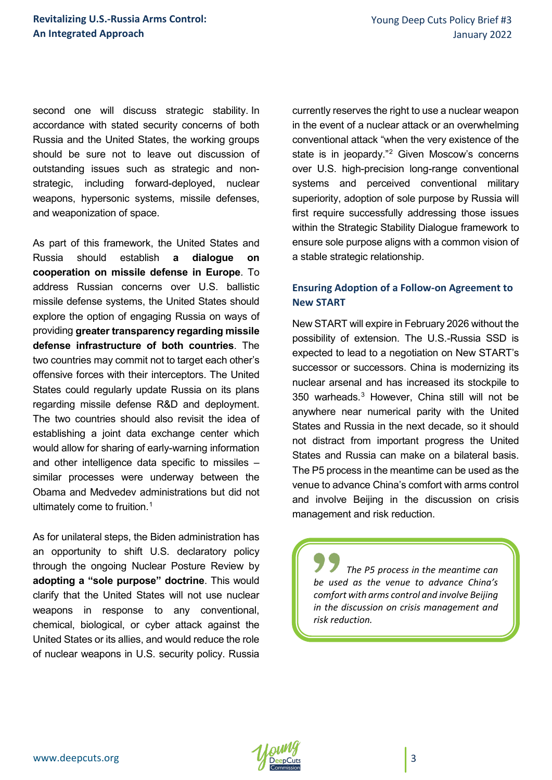second one will discuss strategic stability. In accordance with stated security concerns of both Russia and the United States, the working groups should be sure not to leave out discussion of outstanding issues such as strategic and nonstrategic, including forward-deployed, nuclear weapons, hypersonic systems, missile defenses, and weaponization of space.

As part of this framework, the United States and Russia should establish **a dialogue on cooperation on missile defense in Europe**. To address Russian concerns over U.S. ballistic missile defense systems, the United States should explore the option of engaging Russia on ways of providing **greater transparency regarding missile defense infrastructure of both countries**. The two countries may commit not to target each other's offensive forces with their interceptors. The United States could regularly update Russia on its plans regarding missile defense R&D and deployment. The two countries should also revisit the idea of establishing a joint data exchange center which would allow for sharing of early-warning information and other intelligence data specific to missiles – similar processes were underway between the Obama and Medvedev administrations but did not ultimately come to fruition.<sup>[1](#page-11-0)</sup>

As for unilateral steps, the Biden administration has an opportunity to shift U.S. declaratory policy through the ongoing Nuclear Posture Review by **adopting a "sole purpose" doctrine**. This would clarify that the United States will not use nuclear weapons in response to any conventional, chemical, biological, or cyber attack against the United States or its allies, and would reduce the role of nuclear weapons in U.S. security policy. Russia

currently reserves the right to use a nuclear weapon in the event of a nuclear attack or an overwhelming conventional attack "when the very existence of the state is in jeopardy."<sup>[2](#page-11-1)</sup> Given Moscow's concerns over U.S. high-precision long-range conventional systems and perceived conventional military superiority, adoption of sole purpose by Russia will first require successfully addressing those issues within the Strategic Stability Dialogue framework to ensure sole purpose aligns with a common vision of a stable strategic relationship.

#### **Ensuring Adoption of a Follow-on Agreement to New START**

New START will expire in February 2026 without the possibility of extension. The U.S.-Russia SSD is expected to lead to a negotiation on New START's successor or successors. China is modernizing its nuclear arsenal and has increased its stockpile to 350 warheads.[3](#page-11-2) However, China still will not be anywhere near numerical parity with the United States and Russia in the next decade, so it should not distract from important progress the United States and Russia can make on a bilateral basis. The P5 process in the meantime can be used as the venue to advance China's comfort with arms control and involve Beijing in the discussion on crisis management and risk reduction.

*The P5 process in the meantime can be used as the venue to advance China's comfort with arms control and involve Beijing in the discussion on crisis management and risk reduction.*

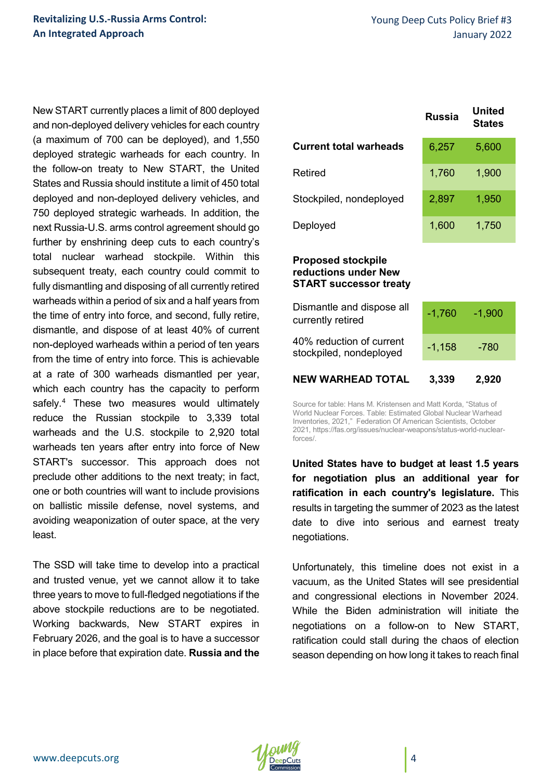New START currently places a limit of 800 deployed and non-deployed delivery vehicles for each country (a maximum of 700 can be deployed), and 1,550 deployed strategic warheads for each country. In the follow-on treaty to New START, the United States and Russia should institute a limit of 450 total deployed and non-deployed delivery vehicles, and 750 deployed strategic warheads. In addition, the next Russia-U.S. arms control agreement should go further by enshrining deep cuts to each country's total nuclear warhead stockpile. Within this subsequent treaty, each country could commit to fully dismantling and disposing of all currently retired warheads within a period of six and a half years from the time of entry into force, and second, fully retire, dismantle, and dispose of at least 40% of current non-deployed warheads within a period of ten years from the time of entry into force. This is achievable at a rate of 300 warheads dismantled per year, which each country has the capacity to perform safely.<sup>[4](#page-11-3)</sup> These two measures would ultimately reduce the Russian stockpile to 3,339 total warheads and the U.S. stockpile to 2,920 total warheads ten years after entry into force of New START's successor. This approach does not preclude other additions to the next treaty; in fact, one or both countries will want to include provisions on ballistic missile defense, novel systems, and avoiding weaponization of outer space, at the very least.

The SSD will take time to develop into a practical and trusted venue, yet we cannot allow it to take three years to move to full-fledged negotiations if the above stockpile reductions are to be negotiated. Working backwards, New START expires in February 2026, and the goal is to have a successor in place before that expiration date. **Russia and the** 

|                               | Russia | United<br><b>States</b> |  |
|-------------------------------|--------|-------------------------|--|
| <b>Current total warheads</b> | 6,257  | 5,600                   |  |
| Retired                       | 1,760  | 1,900                   |  |
| Stockpiled, nondeployed       | 2,897  | 1,950                   |  |
| Deployed                      | 1,600  | 1,750                   |  |
|                               |        |                         |  |

#### **Proposed stockpile reductions under New START successor treaty**

| <b>NEW WARHEAD TOTAL</b>                            | 3,339    | 2,920    |  |
|-----------------------------------------------------|----------|----------|--|
| 40% reduction of current<br>stockpiled, nondeployed | $-1,158$ | $-780$   |  |
| Dismantle and dispose all<br>currently retired      | $-1,760$ | $-1,900$ |  |
|                                                     |          |          |  |

Source for table: Hans M. Kristensen and Matt Korda, "Status of World Nuclear Forces. Table: Estimated Global Nuclear Warhead Inventories, 2021," Federation Of American Scientists, October 2021, https://fas.org/issues/nuclear-weapons/status-world-nuclearforces/.

**United States have to budget at least 1.5 years for negotiation plus an additional year for ratification in each country's legislature.** This results in targeting the summer of 2023 as the latest date to dive into serious and earnest treaty negotiations.

Unfortunately, this timeline does not exist in a vacuum, as the United States will see presidential and congressional elections in November 2024. While the Biden administration will initiate the negotiations on a follow-on to New START, ratification could stall during the chaos of election season depending on how long it takes to reach final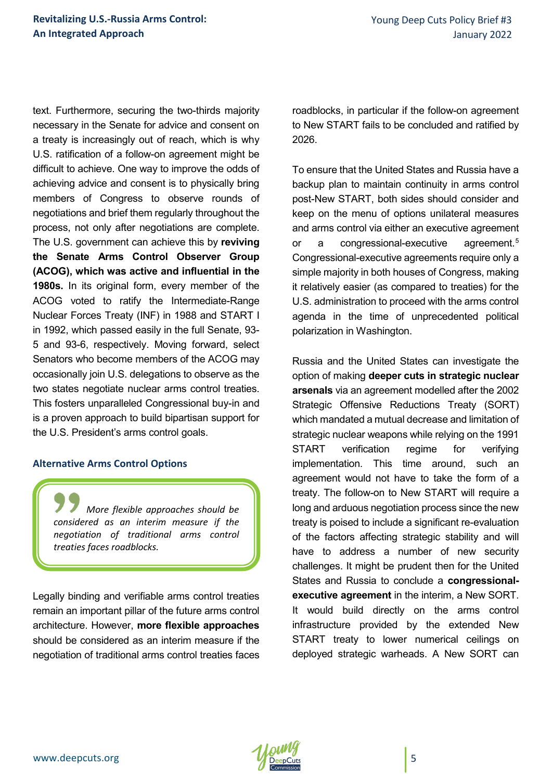text. Furthermore, securing the two-thirds majority necessary in the Senate for advice and consent on a treaty is increasingly out of reach, which is why U.S. ratification of a follow-on agreement might be difficult to achieve. One way to improve the odds of achieving advice and consent is to physically bring members of Congress to observe rounds of negotiations and brief them regularly throughout the process, not only after negotiations are complete. The U.S. government can achieve this by **reviving the Senate Arms Control Observer Group (ACOG), which was active and influential in the 1980s.** In its original form, every member of the ACOG voted to ratify the Intermediate-Range Nuclear Forces Treaty (INF) in 1988 and START I in 1992, which passed easily in the full Senate, 93- 5 and 93-6, respectively. Moving forward, select Senators who become members of the ACOG may occasionally join U.S. delegations to observe as the two states negotiate nuclear arms control treaties. This fosters unparalleled Congressional buy-in and is a proven approach to build bipartisan support for the U.S. President's arms control goals.

#### **Alternative Arms Control Options**

*More flexible approaches should be considered as an interim measure if the negotiation of traditional arms control treaties faces roadblocks.*

Legally binding and verifiable arms control treaties remain an important pillar of the future arms control architecture. However, **more flexible approaches**  should be considered as an interim measure if the negotiation of traditional arms control treaties faces

roadblocks, in particular if the follow-on agreement to New START fails to be concluded and ratified by 2026.

To ensure that the United States and Russia have a backup plan to maintain continuity in arms control post-New START, both sides should consider and keep on the menu of options unilateral measures and arms control via either an executive agreement or a congressional-executive agreement.<sup>[5](#page-11-4)</sup> Congressional-executive agreements require only a simple majority in both houses of Congress, making it relatively easier (as compared to treaties) for the U.S. administration to proceed with the arms control agenda in the time of unprecedented political polarization in Washington.

Russia and the United States can investigate the option of making **deeper cuts in strategic nuclear arsenals** via an agreement modelled after the 2002 Strategic Offensive Reductions Treaty (SORT) which mandated a mutual decrease and limitation of strategic nuclear weapons while relying on the 1991 START verification regime for verifying implementation. This time around, such an agreement would not have to take the form of a treaty. The follow-on to New START will require a long and arduous negotiation process since the new treaty is poised to include a significant re-evaluation of the factors affecting strategic stability and will have to address a number of new security challenges. It might be prudent then for the United States and Russia to conclude a **congressionalexecutive agreement** in the interim, a New SORT. It would build directly on the arms control infrastructure provided by the extended New START treaty to lower numerical ceilings on deployed strategic warheads. A New SORT can

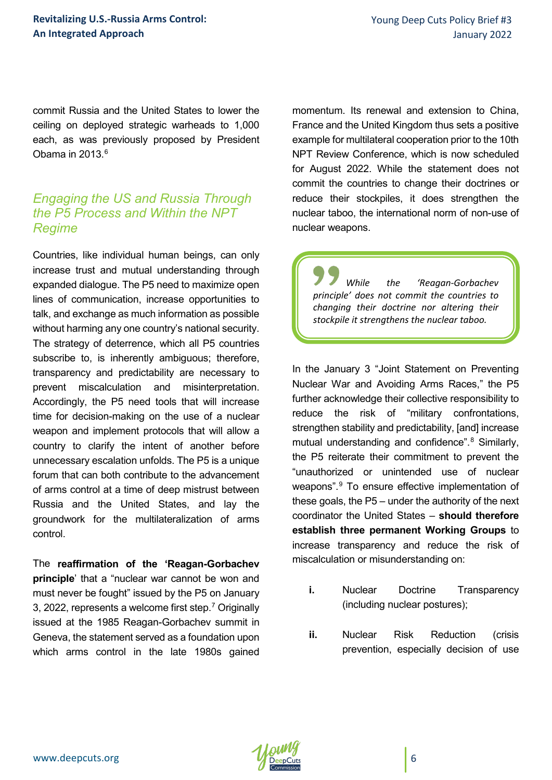commit Russia and the United States to lower the ceiling on deployed strategic warheads to 1,000 each, as was previously proposed by President Obama in 2013 $6$ 

## *Engaging the US and Russia Through the P5 Process and Within the NPT Regime*

Countries, like individual human beings, can only increase trust and mutual understanding through expanded dialogue. The P5 need to maximize open lines of communication, increase opportunities to talk, and exchange as much information as possible without harming any one country's national security. The strategy of deterrence, which all P5 countries subscribe to, is inherently ambiguous; therefore, transparency and predictability are necessary to prevent miscalculation and misinterpretation. Accordingly, the P5 need tools that will increase time for decision-making on the use of a nuclear weapon and implement protocols that will allow a country to clarify the intent of another before unnecessary escalation unfolds. The P5 is a unique forum that can both contribute to the advancement of arms control at a time of deep mistrust between Russia and the United States, and lay the groundwork for the multilateralization of arms control.

The **reaffirmation of the 'Reagan-Gorbachev principle**' that a "nuclear war cannot be won and must never be fought" issued by the P5 on January 3, 2022, represents a welcome first step[.7](#page-11-6) Originally issued at the 1985 Reagan-Gorbachev summit in Geneva, the statement served as a foundation upon which arms control in the late 1980s gained

momentum. Its renewal and extension to China, France and the United Kingdom thus sets a positive example for multilateral cooperation prior to the 10th NPT Review Conference, which is now scheduled for August 2022. While the statement does not commit the countries to change their doctrines or reduce their stockpiles, it does strengthen the nuclear taboo, the international norm of non-use of nuclear weapons.

*While the 'Reagan-Gorbachev principle' does not commit the countries to changing their doctrine nor altering their stockpile it strengthens the nuclear taboo.*

In the January 3 "Joint Statement on Preventing Nuclear War and Avoiding Arms Races," the P5 further acknowledge their collective responsibility to reduce the risk of "military confrontations, strengthen stability and predictability, [and] increase mutual understanding and confidence".<sup>[8](#page-11-7)</sup> Similarly, the P5 reiterate their commitment to prevent the "unauthorized or unintended use of nuclear weapons".[9](#page-11-8) To ensure effective implementation of these goals, the P5 – under the authority of the next coordinator the United States – **should therefore establish three permanent Working Groups** to increase transparency and reduce the risk of miscalculation or misunderstanding on:

- **i.** Nuclear Doctrine Transparency (including nuclear postures);
- **ii.** Nuclear Risk Reduction (crisis prevention, especially decision of use

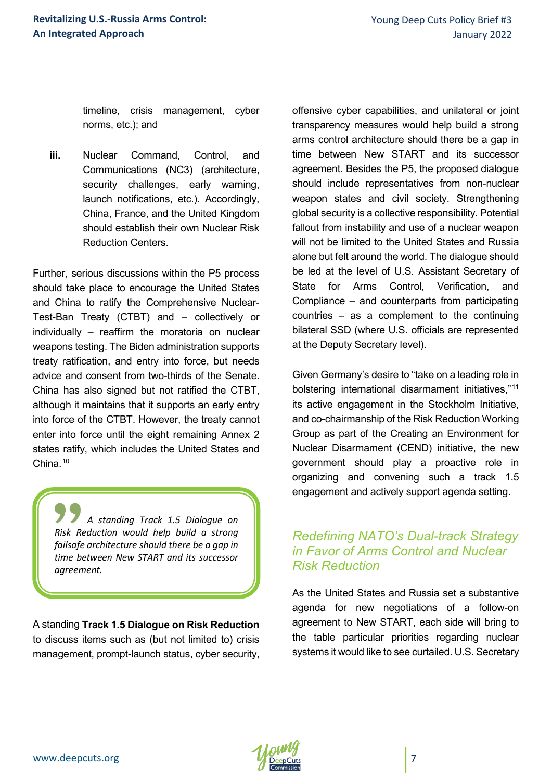timeline, crisis management, cyber norms, etc.); and

**iii.** Nuclear Command, Control, and Communications (NC3) (architecture, security challenges, early warning, launch notifications, etc.). Accordingly, China, France, and the United Kingdom should establish their own Nuclear Risk Reduction Centers.

Further, serious discussions within the P5 process should take place to encourage the United States and China to ratify the Comprehensive Nuclear-Test-Ban Treaty (CTBT) and – collectively or individually – reaffirm the moratoria on nuclear weapons testing. The Biden administration supports treaty ratification, and entry into force, but needs advice and consent from two-thirds of the Senate. China has also signed but not ratified the CTBT, although it maintains that it supports an early entry into force of the CTBT. However, the treaty cannot enter into force until the eight remaining Annex 2 states ratify, which includes the United States and China<sup>[10](#page-11-0)</sup>

*A standing Track 1.5 Dialogue on Risk Reduction would help build a strong failsafe architecture should there be a gap in time between New START and its successor agreement.*

A standing **Track 1.5 Dialogue on Risk Reduction** to discuss items such as (but not limited to) crisis management, prompt-launch status, cyber security,

offensive cyber capabilities, and unilateral or joint transparency measures would help build a strong arms control architecture should there be a gap in time between New START and its successor agreement. Besides the P5, the proposed dialogue should include representatives from non-nuclear weapon states and civil society. Strengthening global security is a collective responsibility. Potential fallout from instability and use of a nuclear weapon will not be limited to the United States and Russia alone but felt around the world. The dialogue should be led at the level of U.S. Assistant Secretary of State for Arms Control, Verification, and Compliance – and counterparts from participating countries – as a complement to the continuing bilateral SSD (where U.S. officials are represented at the Deputy Secretary level).

Given Germany's desire to "take on a leading role in bolstering international disarmament initiatives,"[11](#page-11-9) its active engagement in the Stockholm Initiative, and co-chairmanship of the Risk Reduction Working Group as part of the Creating an Environment for Nuclear Disarmament (CEND) initiative, the new government should play a proactive role in organizing and convening such a track 1.5 engagement and actively support agenda setting.

## *Redefining NATO's Dual-track Strategy in Favor of Arms Control and Nuclear Risk Reduction*

As the United States and Russia set a substantive agenda for new negotiations of a follow-on agreement to New START, each side will bring to the table particular priorities regarding nuclear systems it would like to see curtailed. U.S. Secretary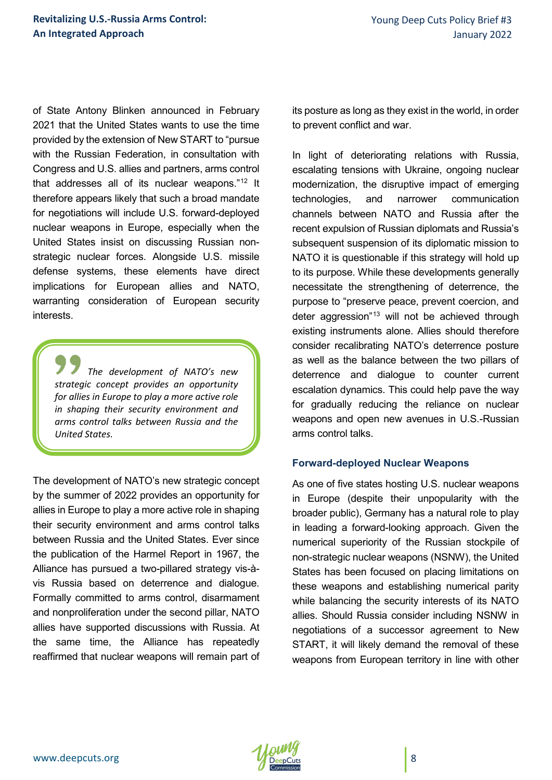of State Antony Blinken announced in February 2021 that the United States wants to use the time provided by the extension of New START to "pursue with the Russian Federation, in consultation with Congress and U.S. allies and partners, arms control that addresses all of its nuclear weapons.["12](#page-11-10) It therefore appears likely that such a broad mandate for negotiations will include U.S. forward-deployed nuclear weapons in Europe, especially when the United States insist on discussing Russian nonstrategic nuclear forces. Alongside U.S. missile defense systems, these elements have direct implications for European allies and NATO, warranting consideration of European security interests.

*The development of NATO's new strategic concept provides an opportunity for allies in Europe to play a more active role in shaping their security environment and arms control talks between Russia and the United States.*

The development of NATO's new strategic concept by the summer of 2022 provides an opportunity for allies in Europe to play a more active role in shaping their security environment and arms control talks between Russia and the United States. Ever since the publication of the Harmel Report in 1967, the Alliance has pursued a two-pillared strategy vis-àvis Russia based on deterrence and dialogue. Formally committed to arms control, disarmament and nonproliferation under the second pillar, NATO allies have supported discussions with Russia. At the same time, the Alliance has repeatedly reaffirmed that nuclear weapons will remain part of

its posture as long as they exist in the world, in order to prevent conflict and war.

In light of deteriorating relations with Russia, escalating tensions with Ukraine, ongoing nuclear modernization, the disruptive impact of emerging technologies, and narrower communication channels between NATO and Russia after the recent expulsion of Russian diplomats and Russia's subsequent suspension of its diplomatic mission to NATO it is questionable if this strategy will hold up to its purpose. While these developments generally necessitate the strengthening of deterrence, the purpose to "preserve peace, prevent coercion, and deter aggression"<sup>[13](#page-11-11)</sup> will not be achieved through existing instruments alone. Allies should therefore consider recalibrating NATO's deterrence posture as well as the balance between the two pillars of deterrence and dialogue to counter current escalation dynamics. This could help pave the way for gradually reducing the reliance on nuclear weapons and open new avenues in U.S.-Russian arms control talks.

#### **Forward-deployed Nuclear Weapons**

As one of five states hosting U.S. nuclear weapons in Europe (despite their unpopularity with the broader public), Germany has a natural role to play in leading a forward-looking approach. Given the numerical superiority of the Russian stockpile of non-strategic nuclear weapons (NSNW), the United States has been focused on placing limitations on these weapons and establishing numerical parity while balancing the security interests of its NATO allies. Should Russia consider including NSNW in negotiations of a successor agreement to New START, it will likely demand the removal of these weapons from European territory in line with other

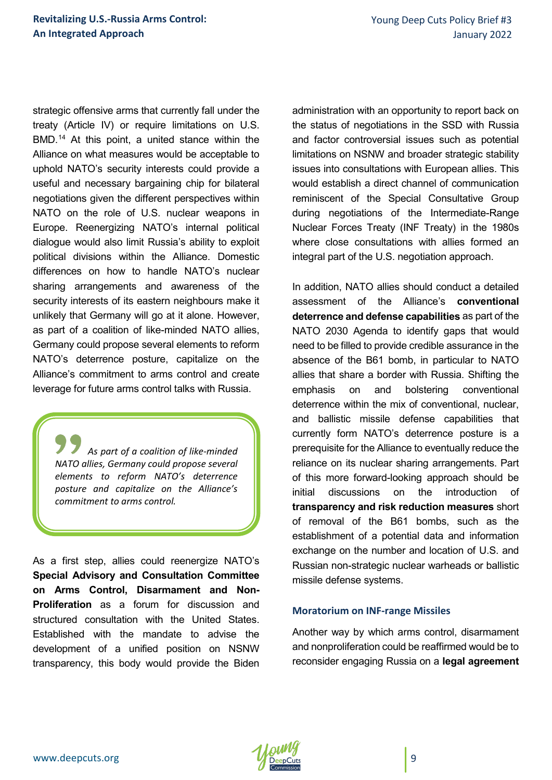strategic offensive arms that currently fall under the treaty (Article IV) or require limitations on U.S. BMD.<sup>[14](#page-11-12)</sup> At this point, a united stance within the Alliance on what measures would be acceptable to uphold NATO's security interests could provide a useful and necessary bargaining chip for bilateral negotiations given the different perspectives within NATO on the role of U.S. nuclear weapons in Europe. Reenergizing NATO's internal political dialogue would also limit Russia's ability to exploit political divisions within the Alliance. Domestic differences on how to handle NATO's nuclear sharing arrangements and awareness of the security interests of its eastern neighbours make it unlikely that Germany will go at it alone. However, as part of a coalition of like-minded NATO allies, Germany could propose several elements to reform NATO's deterrence posture, capitalize on the Alliance's commitment to arms control and create leverage for future arms control talks with Russia.

*As part of a coalition of like-minded NATO allies, Germany could propose several elements to reform NATO's deterrence posture and capitalize on the Alliance's commitment to arms control.*

As a first step, allies could reenergize NATO's **Special Advisory and Consultation Committee on Arms Control, Disarmament and Non-Proliferation** as a forum for discussion and structured consultation with the United States. Established with the mandate to advise the development of a unified position on NSNW transparency, this body would provide the Biden

administration with an opportunity to report back on the status of negotiations in the SSD with Russia and factor controversial issues such as potential limitations on NSNW and broader strategic stability issues into consultations with European allies. This would establish a direct channel of communication reminiscent of the Special Consultative Group during negotiations of the Intermediate-Range Nuclear Forces Treaty (INF Treaty) in the 1980s where close consultations with allies formed an integral part of the U.S. negotiation approach.

In addition, NATO allies should conduct a detailed assessment of the Alliance's **conventional deterrence and defense capabilities** as part of the NATO 2030 Agenda to identify gaps that would need to be filled to provide credible assurance in the absence of the B61 bomb, in particular to NATO allies that share a border with Russia. Shifting the emphasis on and bolstering conventional deterrence within the mix of conventional, nuclear, and ballistic missile defense capabilities that currently form NATO's deterrence posture is a prerequisite for the Alliance to eventually reduce the reliance on its nuclear sharing arrangements. Part of this more forward-looking approach should be initial discussions on the introduction of **transparency and risk reduction measures** short of removal of the B61 bombs, such as the establishment of a potential data and information exchange on the number and location of U.S. and Russian non-strategic nuclear warheads or ballistic missile defense systems.

#### **Moratorium on INF-range Missiles**

Another way by which arms control, disarmament and nonproliferation could be reaffirmed would be to reconsider engaging Russia on a **legal agreement**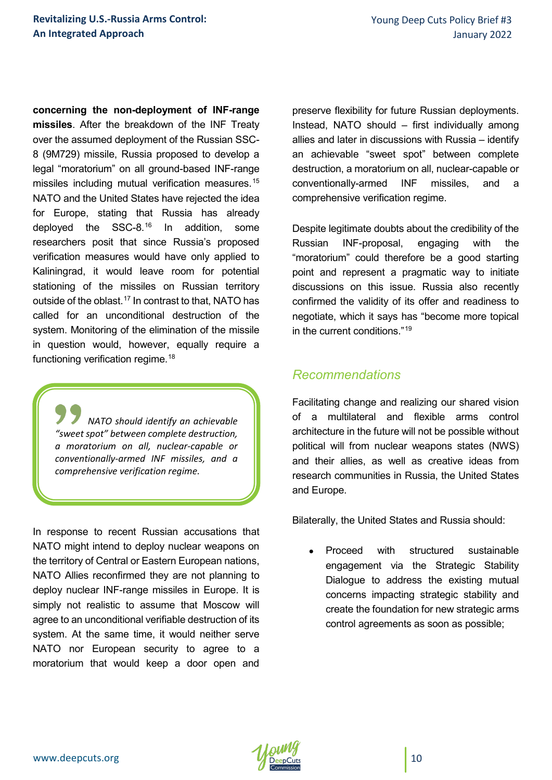**concerning the non-deployment of INF-range missiles**. After the breakdown of the INF Treaty over the assumed deployment of the Russian SSC-8 (9M729) missile, Russia proposed to develop a legal "moratorium" on all ground-based INF-range missiles including mutual verification measures.<sup>[15](#page-11-13)</sup> NATO and the United States have rejected the idea for Europe, stating that Russia has already deployed the SSC-8.[16](#page-11-14) In addition, some researchers posit that since Russia's proposed verification measures would have only applied to Kaliningrad, it would leave room for potential stationing of the missiles on Russian territory outside of the oblast.<sup>[17](#page-11-5)</sup> In contrast to that, NATO has called for an unconditional destruction of the system. Monitoring of the elimination of the missile in question would, however, equally require a functioning verification regime.<sup>[18](#page-11-6)</sup>

*NATO should identify an achievable "sweet spot" between complete destruction, a moratorium on all, nuclear-capable or conventionally-armed INF missiles, and a comprehensive verification regime.*

In response to recent Russian accusations that NATO might intend to deploy nuclear weapons on the territory of Central or Eastern European nations, NATO Allies reconfirmed they are not planning to deploy nuclear INF-range missiles in Europe. It is simply not realistic to assume that Moscow will agree to an unconditional verifiable destruction of its system. At the same time, it would neither serve NATO nor European security to agree to a moratorium that would keep a door open and

preserve flexibility for future Russian deployments. Instead, NATO should – first individually among allies and later in discussions with Russia – identify an achievable "sweet spot" between complete destruction, a moratorium on all, nuclear-capable or conventionally-armed INF missiles, and a comprehensive verification regime.

Despite legitimate doubts about the credibility of the Russian INF-proposal, engaging with the "moratorium" could therefore be a good starting point and represent a pragmatic way to initiate discussions on this issue. Russia also recently confirmed the validity of its offer and readiness to negotiate, which it says has "become more topical in the current conditions  $19$ 

## *Recommendations*

Facilitating change and realizing our shared vision of a multilateral and flexible arms control architecture in the future will not be possible without political will from nuclear weapons states (NWS) and their allies, as well as creative ideas from research communities in Russia, the United States and Europe.

Bilaterally, the United States and Russia should:

• Proceed with structured sustainable engagement via the Strategic Stability Dialogue to address the existing mutual concerns impacting strategic stability and create the foundation for new strategic arms control agreements as soon as possible;

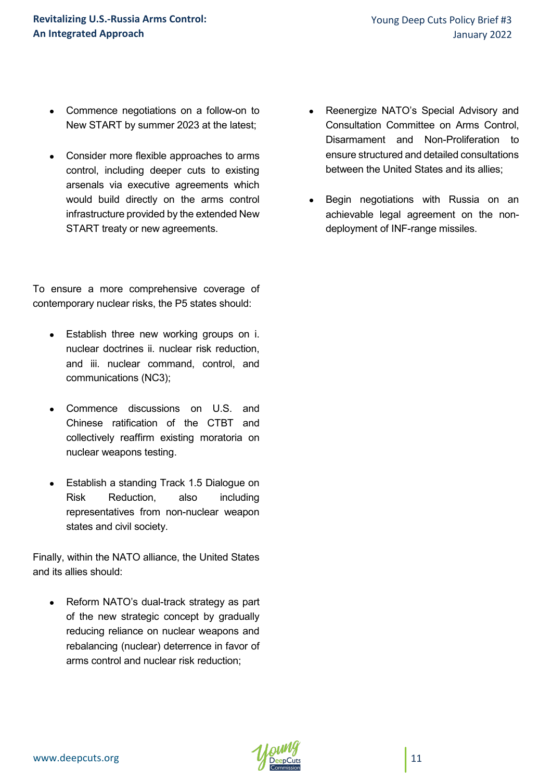- Commence negotiations on a follow-on to New START by summer 2023 at the latest;
- Consider more flexible approaches to arms control, including deeper cuts to existing arsenals via executive agreements which would build directly on the arms control infrastructure provided by the extended New START treaty or new agreements.

To ensure a more comprehensive coverage of contemporary nuclear risks, the P5 states should:

- Establish three new working groups on i. nuclear doctrines ii. nuclear risk reduction, and iii. nuclear command, control, and communications (NC3);
- Commence discussions on U.S. and Chinese ratification of the CTBT and collectively reaffirm existing moratoria on nuclear weapons testing.
- Establish a standing Track 1.5 Dialogue on Risk Reduction, also including representatives from non-nuclear weapon states and civil society.

Finally, within the NATO alliance, the United States and its allies should:

Reform NATO's dual-track strategy as part of the new strategic concept by gradually reducing reliance on nuclear weapons and rebalancing (nuclear) deterrence in favor of arms control and nuclear risk reduction;

- Reenergize NATO's Special Advisory and Consultation Committee on Arms Control, Disarmament and Non-Proliferation to ensure structured and detailed consultations between the United States and its allies;
- Begin negotiations with Russia on an achievable legal agreement on the nondeployment of INF-range missiles.

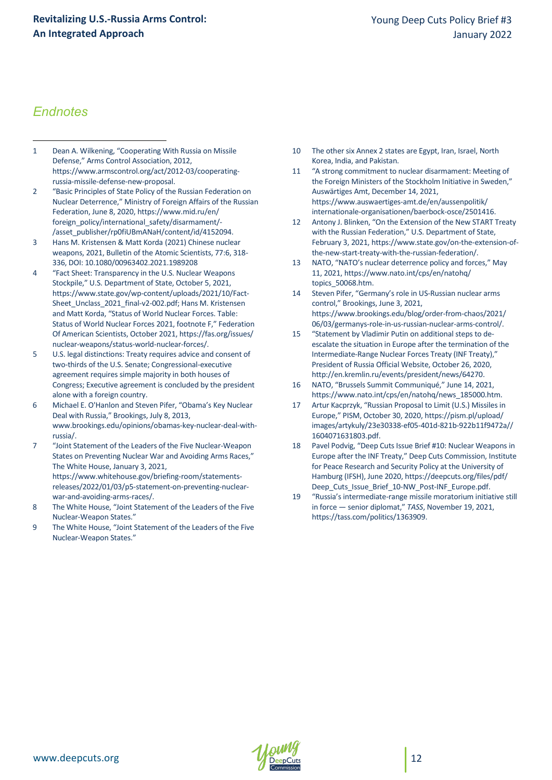#### **Revitalizing U.S.-Russia Arms Control: An Integrated Approach**

## *Endnotes*

- <span id="page-11-0"></span>1 Dean A. Wilkening, "Cooperating With Russia on Missile Defense," Arms Control Association, 2012, https://www.armscontrol.org/act/2012-03/cooperatingrussia-missile-defense-new-proposal. l
- <span id="page-11-9"></span><span id="page-11-1"></span>2 "Basic Principles of State Policy of the Russian Federation on Nuclear Deterrence," Ministry of Foreign Affairs of the Russian Federation, June 8, 2020, https://www.mid.ru/en/ foreign\_policy/international\_safety/disarmament/- /asset\_publisher/rp0fiUBmANaH/content/id/4152094.
- <span id="page-11-10"></span><span id="page-11-2"></span>3 Hans M. Kristensen & Matt Korda (2021) Chinese nuclear weapons, 2021, Bulletin of the Atomic Scientists, 77:6, 318- 336, DOI: 10.1080/00963402.2021.1989208
- <span id="page-11-12"></span><span id="page-11-11"></span><span id="page-11-3"></span>4 "Fact Sheet: Transparency in the U.S. Nuclear Weapons Stockpile," U.S. Department of State, October 5, 2021, https://www.state.gov/wp-content/uploads/2021/10/Fact-Sheet\_Unclass\_2021\_final-v2-002.pdf; Hans M. Kristensen and Matt Korda, "Status of World Nuclear Forces. Table: Status of World Nuclear Forces 2021, footnote F," Federation Of American Scientists, October 2021, https://fas.org/issues/ nuclear-weapons/status-world-nuclear-forces/.
- <span id="page-11-13"></span><span id="page-11-4"></span>5 U.S. legal distinctions: Treaty requires advice and consent of two-thirds of the U.S. Senate; Congressional-executive agreement requires simple majority in both houses of Congress; Executive agreement is concluded by the president alone with a foreign country.
- <span id="page-11-14"></span><span id="page-11-5"></span>6 Michael E. O'Hanlon and Steven Pifer, "Obama's Key Nuclear Deal with Russia," Brookings, July 8, 2013, www.brookings.edu/opinions/obamas-key-nuclear-deal-withrussia/.
- <span id="page-11-6"></span>7 "Joint Statement of the Leaders of the Five Nuclear-Weapon States on Preventing Nuclear War and Avoiding Arms Races," The White House, January 3, 2021, https://www.whitehouse.gov/briefing-room/statementsreleases/2022/01/03/p5-statement-on-preventing-nuclearwar-and-avoiding-arms-races/.
- <span id="page-11-15"></span><span id="page-11-7"></span>8 The White House, "Joint Statement of the Leaders of the Five Nuclear-Weapon States."
- <span id="page-11-8"></span>9 The White House, "Joint Statement of the Leaders of the Five Nuclear-Weapon States."
- 10 The other six Annex 2 states are Egypt, Iran, Israel, North Korea, India, and Pakistan.
- 11 "A strong commitment to nuclear disarmament: Meeting of the Foreign Ministers of the Stockholm Initiative in Sweden," Auswärtiges Amt, December 14, 2021, https://www.auswaertiges-amt.de/en/aussenpolitik/ internationale-organisationen/baerbock-osce/2501416.
- 12 Antony J. Blinken, "On the Extension of the New START Treaty with the Russian Federation," U.S. Department of State, February 3, 2021, https://www.state.gov/on-the-extension-ofthe-new-start-treaty-with-the-russian-federation/.
- 13 NATO, "NATO's nuclear deterrence policy and forces," May 11, 2021, https://www.nato.int/cps/en/natohq/ topics\_50068.htm.
- 14 Steven Pifer, "Germany's role in US-Russian nuclear arms control," Brookings, June 3, 2021, https://www.brookings.edu/blog/order-from-chaos/2021/ 06/03/germanys-role-in-us-russian-nuclear-arms-control/.
- 15 "Statement by Vladimir Putin on additional steps to deescalate the situation in Europe after the termination of the Intermediate-Range Nuclear Forces Treaty (INF Treaty)," President of Russia Official Website, October 26, 2020, http://en.kremlin.ru/events/president/news/64270.
- 16 NATO, "Brussels Summit Communiqué," June 14, 2021, https://www.nato.int/cps/en/natohq/news\_185000.htm.
- 17 Artur Kacprzyk, "Russian Proposal to Limit (U.S.) Missiles in Europe," PISM, October 30, 2020, https://pism.pl/upload/ images/artykuly/23e30338-ef05-401d-821b-922b11f9472a// 1604071631803.pdf.
- 18 Pavel Podvig, "Deep Cuts Issue Brief #10: Nuclear Weapons in Europe after the INF Treaty," Deep Cuts Commission, Institute for Peace Research and Security Policy at the University of Hamburg (IFSH), June 2020, https://deepcuts.org/files/pdf/ Deep\_Cuts\_Issue\_Brief\_10-NW\_Post-INF\_Europe.pdf.
- 19 "Russia's intermediate-range missile moratorium initiative still in force — senior diplomat," *TASS*, November 19, 2021, https://tass.com/politics/1363909.